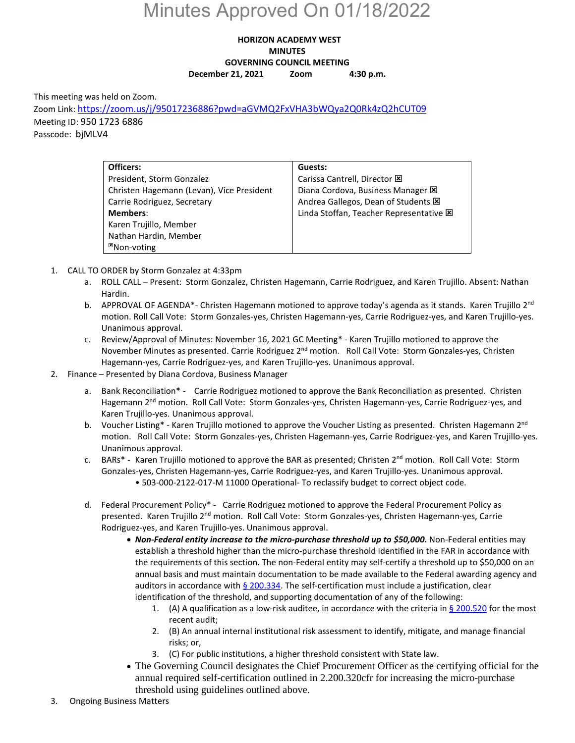# Minutes Approved On 01/18/2022

## **HORIZON ACADEMY WEST MINUTES GOVERNING COUNCIL MEETING December 21, 2021 Zoom 4:30 p.m.**

This meeting was held on Zoom.

Zoom Link[: https://zoom.us/j/95017236886?pwd=aGVMQ2FxVHA3bWQya2Q0Rk4zQ2hCUT09](https://zoom.us/j/95017236886?pwd=aGVMQ2FxVHA3bWQya2Q0Rk4zQ2hCUT09) Meeting ID: 950 1723 6886 Passcode: bjMLV4

| Officers:                                 | Guests:                                     |
|-------------------------------------------|---------------------------------------------|
| President, Storm Gonzalez                 | Carissa Cantrell, Director E                |
| Christen Hagemann (Levan), Vice President | Diana Cordova, Business Manager $\boxtimes$ |
| Carrie Rodriguez, Secretary               | Andrea Gallegos, Dean of Students E         |
| <b>Members:</b>                           | Linda Stoffan, Teacher Representative E     |
| Karen Trujillo, Member                    |                                             |
| Nathan Hardin, Member                     |                                             |
| <sup>⊠</sup> Non-voting                   |                                             |

- 1. CALL TO ORDER by Storm Gonzalez at 4:33pm
	- a. ROLL CALL Present: Storm Gonzalez, Christen Hagemann, Carrie Rodriguez, and Karen Trujillo. Absent: Nathan Hardin.
	- b. APPROVAL OF AGENDA\*- Christen Hagemann motioned to approve today's agenda as it stands. Karen Trujillo 2<sup>nd</sup> motion. Roll Call Vote: Storm Gonzales-yes, Christen Hagemann-yes, Carrie Rodriguez-yes, and Karen Trujillo-yes. Unanimous approval.
	- c. Review/Approval of Minutes: November 16, 2021 GC Meeting\* Karen Trujillo motioned to approve the November Minutes as presented. Carrie Rodriguez 2<sup>nd</sup> motion. Roll Call Vote: Storm Gonzales-yes, Christen Hagemann-yes, Carrie Rodriguez-yes, and Karen Trujillo-yes. Unanimous approval.
- 2. Finance Presented by Diana Cordova, Business Manager
	- a. Bank Reconciliation\* Carrie Rodriguez motioned to approve the Bank Reconciliation as presented. Christen Hagemann 2<sup>nd</sup> motion. Roll Call Vote: Storm Gonzales-yes, Christen Hagemann-yes, Carrie Rodriguez-yes, and Karen Trujillo-yes. Unanimous approval.
	- b. Voucher Listing\* Karen Trujillo motioned to approve the Voucher Listing as presented. Christen Hagemann  $2^{nd}$ motion. Roll Call Vote: Storm Gonzales-yes, Christen Hagemann-yes, Carrie Rodriguez-yes, and Karen Trujillo-yes. Unanimous approval.
	- c. BARs\* Karen Trujillo motioned to approve the BAR as presented; Christen 2<sup>nd</sup> motion. Roll Call Vote: Storm Gonzales-yes, Christen Hagemann-yes, Carrie Rodriguez-yes, and Karen Trujillo-yes. Unanimous approval. • 503-000-2122-017-M 11000 Operational- To reclassify budget to correct object code.
	- d. Federal Procurement Policy\* Carrie Rodriguez motioned to approve the Federal Procurement Policy as presented. Karen Trujillo 2<sup>nd</sup> motion. Roll Call Vote: Storm Gonzales-yes, Christen Hagemann-yes, Carrie Rodriguez-yes, and Karen Trujillo-yes. Unanimous approval.
		- *Non-Federal entity increase to the micro-purchase threshold up to \$50,000.* Non-Federal entities may establish a threshold higher than the micro-purchase threshold identified in the FAR in accordance with the requirements of this section. The non-Federal entity may self-certify a threshold up to \$50,000 on an annual basis and must maintain documentation to be made available to the Federal awarding agency and auditors in accordance with  $\S$  200.334. The self-certification must include a justification, clear identification of the threshold, and supporting documentation of any of the following:
			- 1. (A) A qualification as a low-risk auditee, in accordance with the criteria in  $\frac{6}{5}$  200.520 for the most recent audit;
			- 2. (B) An annual internal institutional risk assessment to identify, mitigate, and manage financial risks; or,
			- 3. (C) For public institutions, a higher threshold consistent with State law.
		- The Governing Council designates the Chief Procurement Officer as the certifying official for the annual required self-certification outlined in 2.200.320cfr for increasing the micro-purchase threshold using guidelines outlined above.
- 3. Ongoing Business Matters